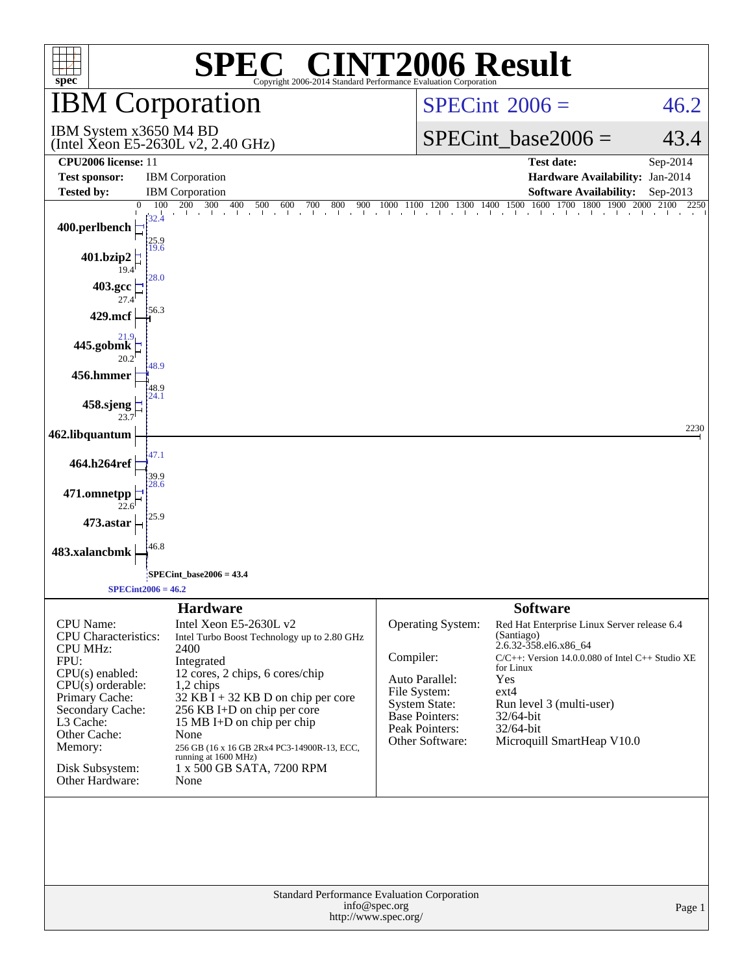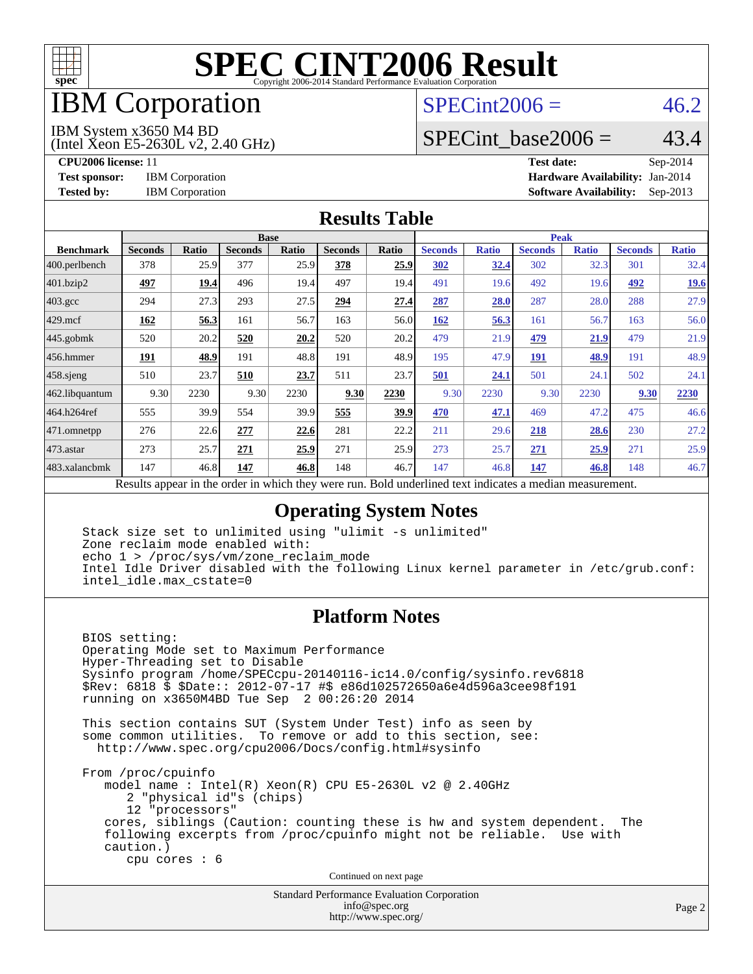

# IBM Corporation

### $SPECint2006 = 46.2$  $SPECint2006 = 46.2$

#### IBM System x3650 M4 BD

(Intel Xeon E5-2630L v2, 2.40 GHz)

SPECint base2006 =  $43.4$ 

**[CPU2006 license:](http://www.spec.org/auto/cpu2006/Docs/result-fields.html#CPU2006license)** 11 **[Test date:](http://www.spec.org/auto/cpu2006/Docs/result-fields.html#Testdate)** Sep-2014 **[Test sponsor:](http://www.spec.org/auto/cpu2006/Docs/result-fields.html#Testsponsor)** IBM Corporation **[Hardware Availability:](http://www.spec.org/auto/cpu2006/Docs/result-fields.html#HardwareAvailability)** Jan-2014 **[Tested by:](http://www.spec.org/auto/cpu2006/Docs/result-fields.html#Testedby)** IBM Corporation **[Software Availability:](http://www.spec.org/auto/cpu2006/Docs/result-fields.html#SoftwareAvailability)** Sep-2013

#### **[Results Table](http://www.spec.org/auto/cpu2006/Docs/result-fields.html#ResultsTable)**

|                                                                                                           | <b>Base</b>    |       |                |       |                |       | <b>Peak</b>    |              |                |              |                |              |
|-----------------------------------------------------------------------------------------------------------|----------------|-------|----------------|-------|----------------|-------|----------------|--------------|----------------|--------------|----------------|--------------|
| <b>Benchmark</b>                                                                                          | <b>Seconds</b> | Ratio | <b>Seconds</b> | Ratio | <b>Seconds</b> | Ratio | <b>Seconds</b> | <b>Ratio</b> | <b>Seconds</b> | <b>Ratio</b> | <b>Seconds</b> | <b>Ratio</b> |
| 400.perlbench                                                                                             | 378            | 25.9  | 377            | 25.9  | 378            | 25.9  | 302            | 32.4         | 302            | 32.3         | 301            | 32.4         |
| 401.bzip2                                                                                                 | 497            | 19.4  | 496            | 19.4  | 497            | 19.4  | 491            | 19.6         | 492            | 19.6         | 492            | <b>19.6</b>  |
| $403.\text{gcc}$                                                                                          | 294            | 27.3  | 293            | 27.5  | 294            | 27.4  | 287            | 28.0         | 287            | 28.0         | 288            | 27.9         |
| $429$ mcf                                                                                                 | 162            | 56.3  | 161            | 56.7  | 163            | 56.0  | 162            | 56.3         | 161            | 56.7         | 163            | 56.0         |
| $445$ .gobmk                                                                                              | 520            | 20.2  | 520            | 20.2  | 520            | 20.2  | 479            | 21.9         | 479            | 21.9         | 479            | 21.9         |
| 456.hmmer                                                                                                 | <u> 191</u>    | 48.9  | 191            | 48.8  | 191            | 48.9  | 195            | 47.9         | <b>191</b>     | 48.9         | 191            | 48.9         |
| $458$ .sjeng                                                                                              | 510            | 23.7  | 510            | 23.7  | 511            | 23.7  | 501            | 24.1         | 501            | 24.1         | 502            | 24.1         |
| 462.libquantum                                                                                            | 9.30           | 2230  | 9.30           | 2230  | 9.30           | 2230  | 9.30           | 2230         | 9.30           | 2230         | 9.30           | 2230         |
| 464.h264ref                                                                                               | 555            | 39.9  | 554            | 39.9  | 555            | 39.9  | 470            | 47.1         | 469            | 47.2         | 475            | 46.6         |
| 471.omnetpp                                                                                               | 276            | 22.6  | 277            | 22.6  | 281            | 22.2  | 211            | 29.6         | 218            | 28.6         | 230            | 27.2         |
| 473.astar                                                                                                 | 273            | 25.7  | 271            | 25.9  | 271            | 25.9  | 273            | 25.7         | 271            | 25.9         | 271            | 25.9         |
| 483.xalancbmk                                                                                             | 147            | 46.8  | 147            | 46.8  | 148            | 46.7  | 147            | 46.8         | 147            | 46.8         | 148            | 46.7         |
| Decute conceal in the order in which they were mun<br>Dold underlined text indicates a madien massurement |                |       |                |       |                |       |                |              |                |              |                |              |

Results appear in the [order in which they were run.](http://www.spec.org/auto/cpu2006/Docs/result-fields.html#RunOrder) Bold underlined text [indicates a median measurement.](http://www.spec.org/auto/cpu2006/Docs/result-fields.html#Median)

#### **[Operating System Notes](http://www.spec.org/auto/cpu2006/Docs/result-fields.html#OperatingSystemNotes)**

 Stack size set to unlimited using "ulimit -s unlimited" Zone reclaim mode enabled with: echo 1 > /proc/sys/vm/zone\_reclaim\_mode Intel Idle Driver disabled with the following Linux kernel parameter in /etc/grub.conf: intel\_idle.max\_cstate=0

#### **[Platform Notes](http://www.spec.org/auto/cpu2006/Docs/result-fields.html#PlatformNotes)**

 BIOS setting: Operating Mode set to Maximum Performance Hyper-Threading set to Disable Sysinfo program /home/SPECcpu-20140116-ic14.0/config/sysinfo.rev6818 \$Rev: 6818 \$ \$Date:: 2012-07-17 #\$ e86d102572650a6e4d596a3cee98f191 running on x3650M4BD Tue Sep 2 00:26:20 2014

 This section contains SUT (System Under Test) info as seen by some common utilities. To remove or add to this section, see: <http://www.spec.org/cpu2006/Docs/config.html#sysinfo>

 From /proc/cpuinfo model name : Intel(R) Xeon(R) CPU E5-2630L v2 @ 2.40GHz 2 "physical id"s (chips) 12 "processors" cores, siblings (Caution: counting these is hw and system dependent. The following excerpts from /proc/cpuinfo might not be reliable. Use with caution.) cpu cores : 6

Continued on next page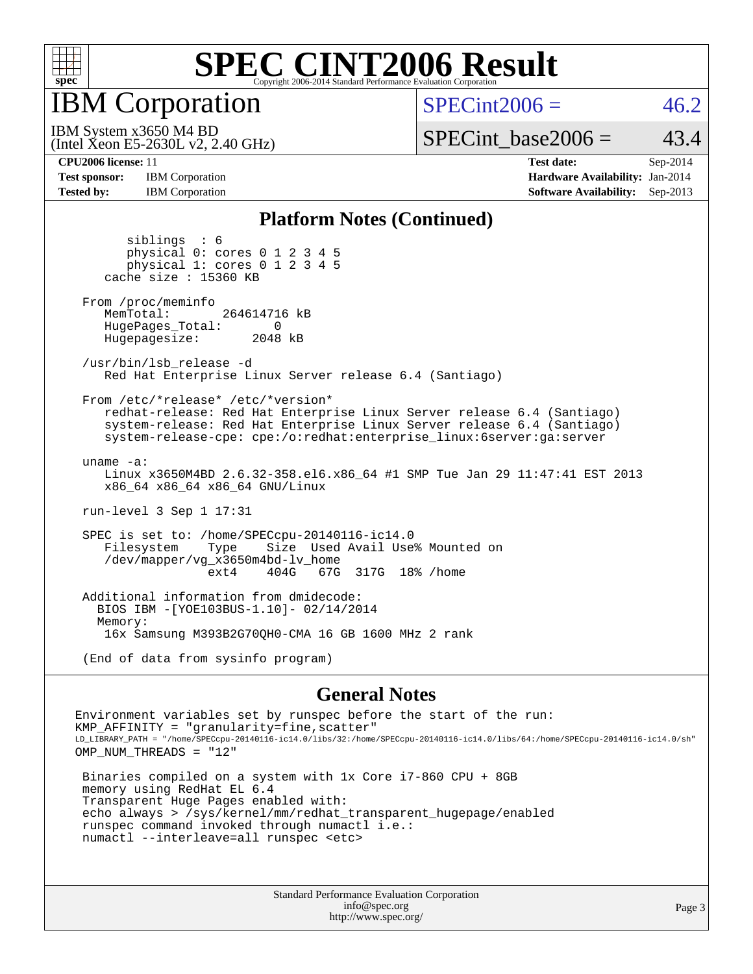

IBM Corporation

 $SPECint2006 = 46.2$  $SPECint2006 = 46.2$ 

(Intel Xeon E5-2630L v2, 2.40 GHz) IBM System x3650 M4 BD

SPECint base2006 =  $43.4$ 

**[Test sponsor:](http://www.spec.org/auto/cpu2006/Docs/result-fields.html#Testsponsor)** IBM Corporation **[Hardware Availability:](http://www.spec.org/auto/cpu2006/Docs/result-fields.html#HardwareAvailability)** Jan-2014 **[Tested by:](http://www.spec.org/auto/cpu2006/Docs/result-fields.html#Testedby)** IBM Corporation **[Software Availability:](http://www.spec.org/auto/cpu2006/Docs/result-fields.html#SoftwareAvailability)** Sep-2013

**[CPU2006 license:](http://www.spec.org/auto/cpu2006/Docs/result-fields.html#CPU2006license)** 11 **[Test date:](http://www.spec.org/auto/cpu2006/Docs/result-fields.html#Testdate)** Sep-2014

#### **[Platform Notes \(Continued\)](http://www.spec.org/auto/cpu2006/Docs/result-fields.html#PlatformNotes)**

 siblings : 6 physical 0: cores 0 1 2 3 4 5 physical 1: cores 0 1 2 3 4 5 cache size : 15360 KB From /proc/meminfo MemTotal: 264614716 kB HugePages\_Total: 0<br>Hugepagesize: 2048 kB Hugepagesize: /usr/bin/lsb\_release -d Red Hat Enterprise Linux Server release 6.4 (Santiago) From /etc/\*release\* /etc/\*version\* redhat-release: Red Hat Enterprise Linux Server release 6.4 (Santiago) system-release: Red Hat Enterprise Linux Server release 6.4 (Santiago) system-release-cpe: cpe:/o:redhat:enterprise\_linux:6server:ga:server uname -a: Linux x3650M4BD 2.6.32-358.el6.x86\_64 #1 SMP Tue Jan 29 11:47:41 EST 2013 x86\_64 x86\_64 x86\_64 GNU/Linux run-level 3 Sep 1 17:31 SPEC is set to: /home/SPECcpu-20140116-ic14.0 Size Used Avail Use% Mounted on /dev/mapper/vg\_x3650m4bd-lv\_home ext4 404G 67G 317G 18% /home Additional information from dmidecode: BIOS IBM -[YOE103BUS-1.10]- 02/14/2014 Memory: 16x Samsung M393B2G70QH0-CMA 16 GB 1600 MHz 2 rank (End of data from sysinfo program)

#### **[General Notes](http://www.spec.org/auto/cpu2006/Docs/result-fields.html#GeneralNotes)**

Environment variables set by runspec before the start of the run: KMP AFFINITY = "granularity=fine, scatter" LD\_LIBRARY\_PATH = "/home/SPECcpu-20140116-ic14.0/libs/32:/home/SPECcpu-20140116-ic14.0/libs/64:/home/SPECcpu-20140116-ic14.0/sh" OMP\_NUM\_THREADS = "12"

 Binaries compiled on a system with 1x Core i7-860 CPU + 8GB memory using RedHat EL 6.4 Transparent Huge Pages enabled with: echo always > /sys/kernel/mm/redhat\_transparent\_hugepage/enabled runspec command invoked through numactl i.e.: numactl --interleave=all runspec <etc>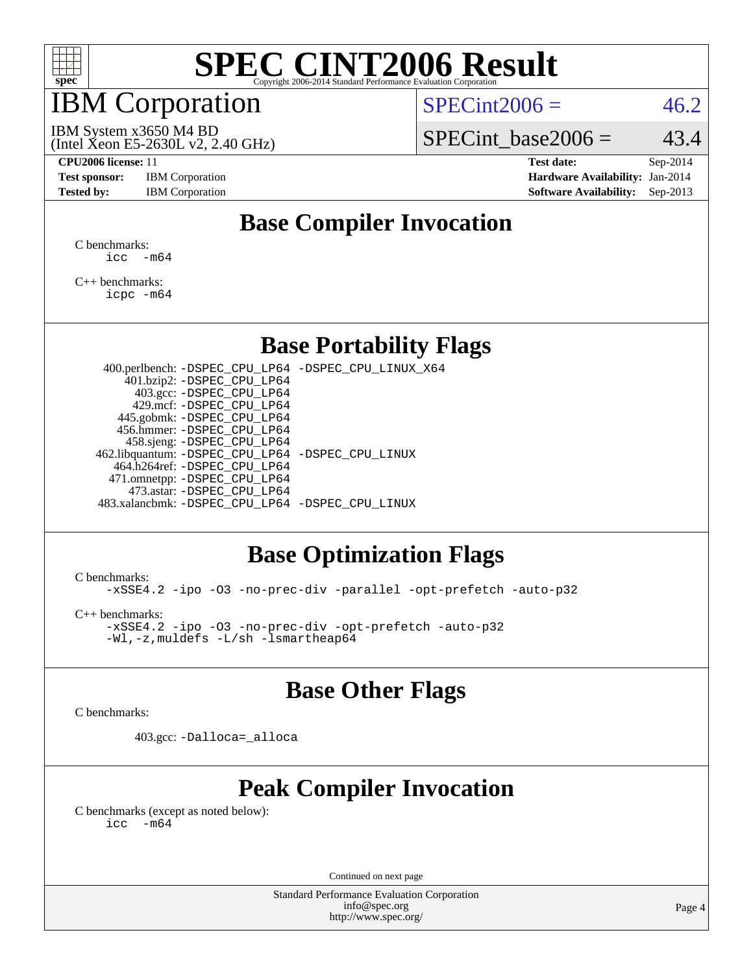

### IBM Corporation

 $SPECint2006 = 46.2$  $SPECint2006 = 46.2$ 

(Intel Xeon E5-2630L v2, 2.40 GHz) IBM System x3650 M4 BD

SPECint base2006 =  $43.4$ 

**[Test sponsor:](http://www.spec.org/auto/cpu2006/Docs/result-fields.html#Testsponsor)** IBM Corporation **[Hardware Availability:](http://www.spec.org/auto/cpu2006/Docs/result-fields.html#HardwareAvailability)** Jan-2014

**[CPU2006 license:](http://www.spec.org/auto/cpu2006/Docs/result-fields.html#CPU2006license)** 11 **[Test date:](http://www.spec.org/auto/cpu2006/Docs/result-fields.html#Testdate)** Sep-2014 **[Tested by:](http://www.spec.org/auto/cpu2006/Docs/result-fields.html#Testedby)** IBM Corporation **[Software Availability:](http://www.spec.org/auto/cpu2006/Docs/result-fields.html#SoftwareAvailability)** Sep-2013

### **[Base Compiler Invocation](http://www.spec.org/auto/cpu2006/Docs/result-fields.html#BaseCompilerInvocation)**

[C benchmarks](http://www.spec.org/auto/cpu2006/Docs/result-fields.html#Cbenchmarks):  $\text{icc}$   $-\text{m64}$ 

[C++ benchmarks:](http://www.spec.org/auto/cpu2006/Docs/result-fields.html#CXXbenchmarks) [icpc -m64](http://www.spec.org/cpu2006/results/res2014q3/cpu2006-20140901-31135.flags.html#user_CXXbase_intel_icpc_64bit_fc66a5337ce925472a5c54ad6a0de310)

#### **[Base Portability Flags](http://www.spec.org/auto/cpu2006/Docs/result-fields.html#BasePortabilityFlags)**

 400.perlbench: [-DSPEC\\_CPU\\_LP64](http://www.spec.org/cpu2006/results/res2014q3/cpu2006-20140901-31135.flags.html#b400.perlbench_basePORTABILITY_DSPEC_CPU_LP64) [-DSPEC\\_CPU\\_LINUX\\_X64](http://www.spec.org/cpu2006/results/res2014q3/cpu2006-20140901-31135.flags.html#b400.perlbench_baseCPORTABILITY_DSPEC_CPU_LINUX_X64) 401.bzip2: [-DSPEC\\_CPU\\_LP64](http://www.spec.org/cpu2006/results/res2014q3/cpu2006-20140901-31135.flags.html#suite_basePORTABILITY401_bzip2_DSPEC_CPU_LP64) 403.gcc: [-DSPEC\\_CPU\\_LP64](http://www.spec.org/cpu2006/results/res2014q3/cpu2006-20140901-31135.flags.html#suite_basePORTABILITY403_gcc_DSPEC_CPU_LP64) 429.mcf: [-DSPEC\\_CPU\\_LP64](http://www.spec.org/cpu2006/results/res2014q3/cpu2006-20140901-31135.flags.html#suite_basePORTABILITY429_mcf_DSPEC_CPU_LP64) 445.gobmk: [-DSPEC\\_CPU\\_LP64](http://www.spec.org/cpu2006/results/res2014q3/cpu2006-20140901-31135.flags.html#suite_basePORTABILITY445_gobmk_DSPEC_CPU_LP64) 456.hmmer: [-DSPEC\\_CPU\\_LP64](http://www.spec.org/cpu2006/results/res2014q3/cpu2006-20140901-31135.flags.html#suite_basePORTABILITY456_hmmer_DSPEC_CPU_LP64) 458.sjeng: [-DSPEC\\_CPU\\_LP64](http://www.spec.org/cpu2006/results/res2014q3/cpu2006-20140901-31135.flags.html#suite_basePORTABILITY458_sjeng_DSPEC_CPU_LP64) 462.libquantum: [-DSPEC\\_CPU\\_LP64](http://www.spec.org/cpu2006/results/res2014q3/cpu2006-20140901-31135.flags.html#suite_basePORTABILITY462_libquantum_DSPEC_CPU_LP64) [-DSPEC\\_CPU\\_LINUX](http://www.spec.org/cpu2006/results/res2014q3/cpu2006-20140901-31135.flags.html#b462.libquantum_baseCPORTABILITY_DSPEC_CPU_LINUX) 464.h264ref: [-DSPEC\\_CPU\\_LP64](http://www.spec.org/cpu2006/results/res2014q3/cpu2006-20140901-31135.flags.html#suite_basePORTABILITY464_h264ref_DSPEC_CPU_LP64) 471.omnetpp: [-DSPEC\\_CPU\\_LP64](http://www.spec.org/cpu2006/results/res2014q3/cpu2006-20140901-31135.flags.html#suite_basePORTABILITY471_omnetpp_DSPEC_CPU_LP64) 473.astar: [-DSPEC\\_CPU\\_LP64](http://www.spec.org/cpu2006/results/res2014q3/cpu2006-20140901-31135.flags.html#suite_basePORTABILITY473_astar_DSPEC_CPU_LP64) 483.xalancbmk: [-DSPEC\\_CPU\\_LP64](http://www.spec.org/cpu2006/results/res2014q3/cpu2006-20140901-31135.flags.html#suite_basePORTABILITY483_xalancbmk_DSPEC_CPU_LP64) [-DSPEC\\_CPU\\_LINUX](http://www.spec.org/cpu2006/results/res2014q3/cpu2006-20140901-31135.flags.html#b483.xalancbmk_baseCXXPORTABILITY_DSPEC_CPU_LINUX)

#### **[Base Optimization Flags](http://www.spec.org/auto/cpu2006/Docs/result-fields.html#BaseOptimizationFlags)**

[C benchmarks](http://www.spec.org/auto/cpu2006/Docs/result-fields.html#Cbenchmarks):

[-xSSE4.2](http://www.spec.org/cpu2006/results/res2014q3/cpu2006-20140901-31135.flags.html#user_CCbase_f-xSSE42_f91528193cf0b216347adb8b939d4107) [-ipo](http://www.spec.org/cpu2006/results/res2014q3/cpu2006-20140901-31135.flags.html#user_CCbase_f-ipo) [-O3](http://www.spec.org/cpu2006/results/res2014q3/cpu2006-20140901-31135.flags.html#user_CCbase_f-O3) [-no-prec-div](http://www.spec.org/cpu2006/results/res2014q3/cpu2006-20140901-31135.flags.html#user_CCbase_f-no-prec-div) [-parallel](http://www.spec.org/cpu2006/results/res2014q3/cpu2006-20140901-31135.flags.html#user_CCbase_f-parallel) [-opt-prefetch](http://www.spec.org/cpu2006/results/res2014q3/cpu2006-20140901-31135.flags.html#user_CCbase_f-opt-prefetch) [-auto-p32](http://www.spec.org/cpu2006/results/res2014q3/cpu2006-20140901-31135.flags.html#user_CCbase_f-auto-p32)

[C++ benchmarks:](http://www.spec.org/auto/cpu2006/Docs/result-fields.html#CXXbenchmarks)

[-xSSE4.2](http://www.spec.org/cpu2006/results/res2014q3/cpu2006-20140901-31135.flags.html#user_CXXbase_f-xSSE42_f91528193cf0b216347adb8b939d4107) [-ipo](http://www.spec.org/cpu2006/results/res2014q3/cpu2006-20140901-31135.flags.html#user_CXXbase_f-ipo) [-O3](http://www.spec.org/cpu2006/results/res2014q3/cpu2006-20140901-31135.flags.html#user_CXXbase_f-O3) [-no-prec-div](http://www.spec.org/cpu2006/results/res2014q3/cpu2006-20140901-31135.flags.html#user_CXXbase_f-no-prec-div) [-opt-prefetch](http://www.spec.org/cpu2006/results/res2014q3/cpu2006-20140901-31135.flags.html#user_CXXbase_f-opt-prefetch) [-auto-p32](http://www.spec.org/cpu2006/results/res2014q3/cpu2006-20140901-31135.flags.html#user_CXXbase_f-auto-p32) [-Wl,-z,muldefs](http://www.spec.org/cpu2006/results/res2014q3/cpu2006-20140901-31135.flags.html#user_CXXbase_link_force_multiple1_74079c344b956b9658436fd1b6dd3a8a) [-L/sh -lsmartheap64](http://www.spec.org/cpu2006/results/res2014q3/cpu2006-20140901-31135.flags.html#user_CXXbase_SmartHeap64_ed4ef857ce90951921efb0d91eb88472)

#### **[Base Other Flags](http://www.spec.org/auto/cpu2006/Docs/result-fields.html#BaseOtherFlags)**

[C benchmarks](http://www.spec.org/auto/cpu2006/Docs/result-fields.html#Cbenchmarks):

403.gcc: [-Dalloca=\\_alloca](http://www.spec.org/cpu2006/results/res2014q3/cpu2006-20140901-31135.flags.html#b403.gcc_baseEXTRA_CFLAGS_Dalloca_be3056838c12de2578596ca5467af7f3)

### **[Peak Compiler Invocation](http://www.spec.org/auto/cpu2006/Docs/result-fields.html#PeakCompilerInvocation)**

[C benchmarks \(except as noted below\)](http://www.spec.org/auto/cpu2006/Docs/result-fields.html#Cbenchmarksexceptasnotedbelow):  $\text{icc}$  -m64

Continued on next page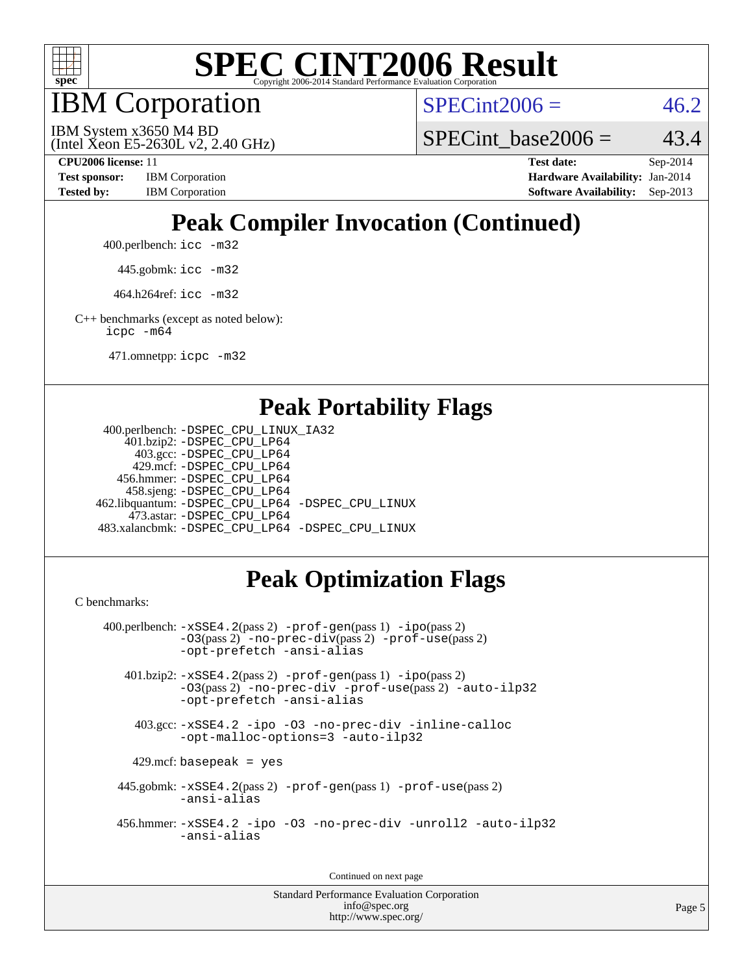

IBM Corporation

 $SPECint2006 = 46.2$  $SPECint2006 = 46.2$ 

(Intel Xeon E5-2630L v2, 2.40 GHz) IBM System x3650 M4 BD

SPECint base2006 =  $43.4$ 

**[CPU2006 license:](http://www.spec.org/auto/cpu2006/Docs/result-fields.html#CPU2006license)** 11 **[Test date:](http://www.spec.org/auto/cpu2006/Docs/result-fields.html#Testdate)** Sep-2014 **[Test sponsor:](http://www.spec.org/auto/cpu2006/Docs/result-fields.html#Testsponsor)** IBM Corporation **[Hardware Availability:](http://www.spec.org/auto/cpu2006/Docs/result-fields.html#HardwareAvailability)** Jan-2014 [Tested by:](http://www.spec.org/auto/cpu2006/Docs/result-fields.html#Testedby) IBM Corporation **[Software Availability:](http://www.spec.org/auto/cpu2006/Docs/result-fields.html#SoftwareAvailability)** Sep-2013

# **[Peak Compiler Invocation \(Continued\)](http://www.spec.org/auto/cpu2006/Docs/result-fields.html#PeakCompilerInvocation)**

400.perlbench: [icc -m32](http://www.spec.org/cpu2006/results/res2014q3/cpu2006-20140901-31135.flags.html#user_peakCCLD400_perlbench_intel_icc_a6a621f8d50482236b970c6ac5f55f93)

445.gobmk: [icc -m32](http://www.spec.org/cpu2006/results/res2014q3/cpu2006-20140901-31135.flags.html#user_peakCCLD445_gobmk_intel_icc_a6a621f8d50482236b970c6ac5f55f93)

464.h264ref: [icc -m32](http://www.spec.org/cpu2006/results/res2014q3/cpu2006-20140901-31135.flags.html#user_peakCCLD464_h264ref_intel_icc_a6a621f8d50482236b970c6ac5f55f93)

[C++ benchmarks \(except as noted below\):](http://www.spec.org/auto/cpu2006/Docs/result-fields.html#CXXbenchmarksexceptasnotedbelow) [icpc -m64](http://www.spec.org/cpu2006/results/res2014q3/cpu2006-20140901-31135.flags.html#user_CXXpeak_intel_icpc_64bit_fc66a5337ce925472a5c54ad6a0de310)

471.omnetpp: [icpc -m32](http://www.spec.org/cpu2006/results/res2014q3/cpu2006-20140901-31135.flags.html#user_peakCXXLD471_omnetpp_intel_icpc_4e5a5ef1a53fd332b3c49e69c3330699)

#### **[Peak Portability Flags](http://www.spec.org/auto/cpu2006/Docs/result-fields.html#PeakPortabilityFlags)**

```
 400.perlbench: -DSPEC_CPU_LINUX_IA32
    401.bzip2: -DSPEC_CPU_LP64
      403.gcc: -DSPEC_CPU_LP64
     429.mcf: -DSPEC_CPU_LP64
   456.hmmer: -DSPEC_CPU_LP64
    458.sjeng: -DSPEC_CPU_LP64
462.libquantum: -DSPEC_CPU_LP64 -DSPEC_CPU_LINUX
     473.astar: -DSPEC_CPU_LP64
483.xalancbmk: -DSPEC_CPU_LP64 -DSPEC_CPU_LINUX
```
## **[Peak Optimization Flags](http://www.spec.org/auto/cpu2006/Docs/result-fields.html#PeakOptimizationFlags)**

[C benchmarks](http://www.spec.org/auto/cpu2006/Docs/result-fields.html#Cbenchmarks):

```
 400.perlbench: -xSSE4.2(pass 2) -prof-gen(pass 1) -ipo(pass 2)
           -O3(pass 2) -no-prec-div(pass 2) -prof-use(pass 2)
          -opt-prefetch -ansi-alias
   401.bzip2: -xSSE4.2(pass 2) -prof-gen(pass 1) -ipo(pass 2)
           -O3(pass 2) -no-prec-div -prof-use(pass 2) -auto-ilp32
           -opt-prefetch -ansi-alias
    403.gcc: -xSSE4.2 -ipo -O3 -no-prec-div -inline-calloc
           -opt-malloc-options=3 -auto-ilp32
   429.mcf: basepeak = yes
  445.gobmk: -xSSE4.2(pass 2) -prof-gen(pass 1) -prof-use(pass 2)
           -ansi-alias
  456.hmmer: -xSSE4.2 -ipo -O3 -no-prec-div -unroll2 -auto-ilp32
           -ansi-alias
```
Continued on next page